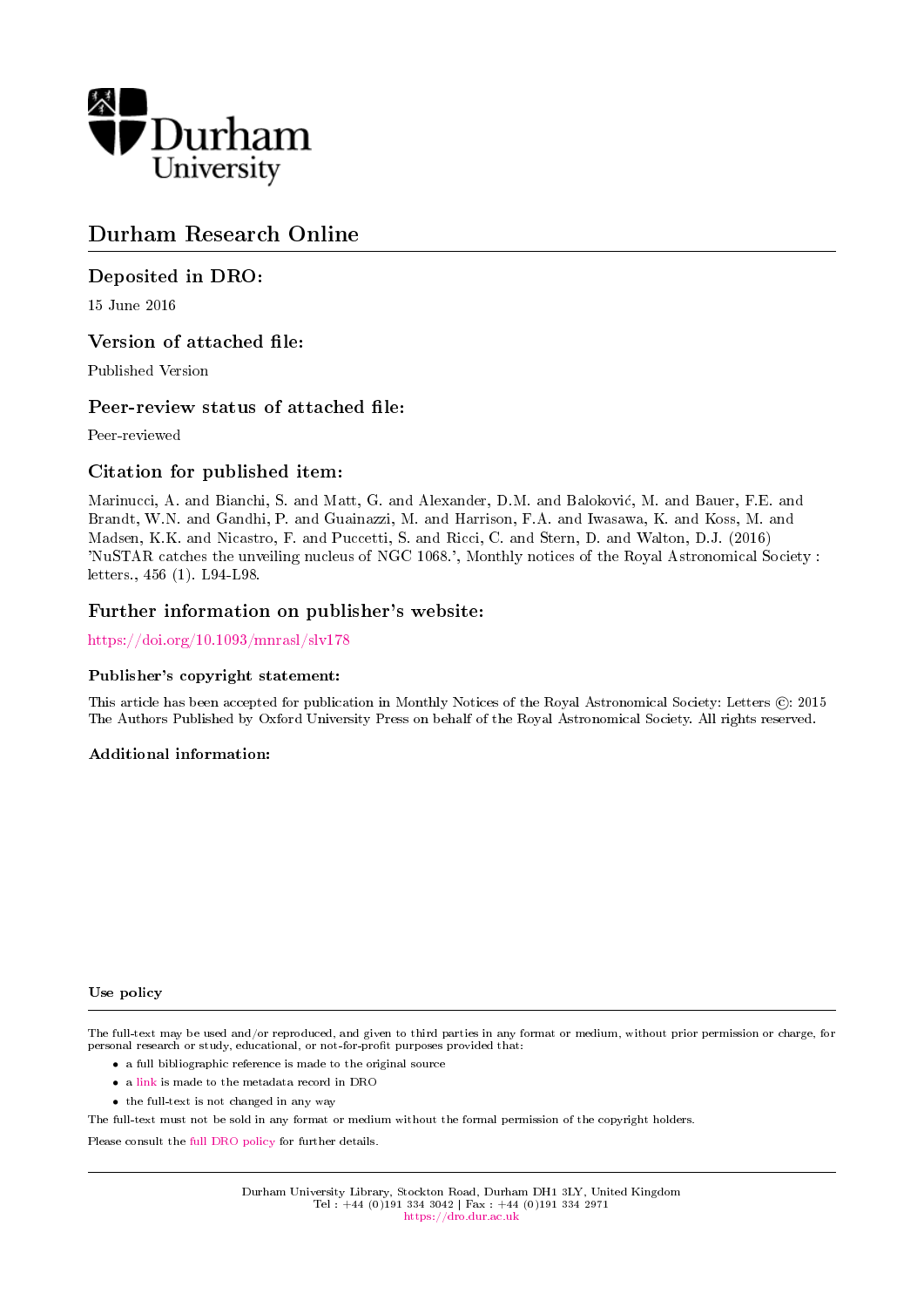

# Durham Research Online

# Deposited in DRO:

15 June 2016

## Version of attached file:

Published Version

## Peer-review status of attached file:

Peer-reviewed

# Citation for published item:

Marinucci, A. and Bianchi, S. and Matt, G. and Alexander, D.M. and Balokovic, M. and Bauer, F.E. and Brandt, W.N. and Gandhi, P. and Guainazzi, M. and Harrison, F.A. and Iwasawa, K. and Koss, M. and Madsen, K.K. and Nicastro, F. and Puccetti, S. and Ricci, C. and Stern, D. and Walton, D.J. (2016) 'NuSTAR catches the unveiling nucleus of NGC 1068.', Monthly notices of the Royal Astronomical Society : letters., 456 (1). L94-L98.

## Further information on publisher's website:

<https://doi.org/10.1093/mnrasl/slv178>

## Publisher's copyright statement:

This article has been accepted for publication in Monthly Notices of the Royal Astronomical Society: Letters (C): 2015 The Authors Published by Oxford University Press on behalf of the Royal Astronomical Society. All rights reserved.

## Additional information:

### Use policy

The full-text may be used and/or reproduced, and given to third parties in any format or medium, without prior permission or charge, for personal research or study, educational, or not-for-profit purposes provided that:

- a full bibliographic reference is made to the original source
- a [link](http://dro.dur.ac.uk/19037/) is made to the metadata record in DRO
- the full-text is not changed in any way

The full-text must not be sold in any format or medium without the formal permission of the copyright holders.

Please consult the [full DRO policy](https://dro.dur.ac.uk/policies/usepolicy.pdf) for further details.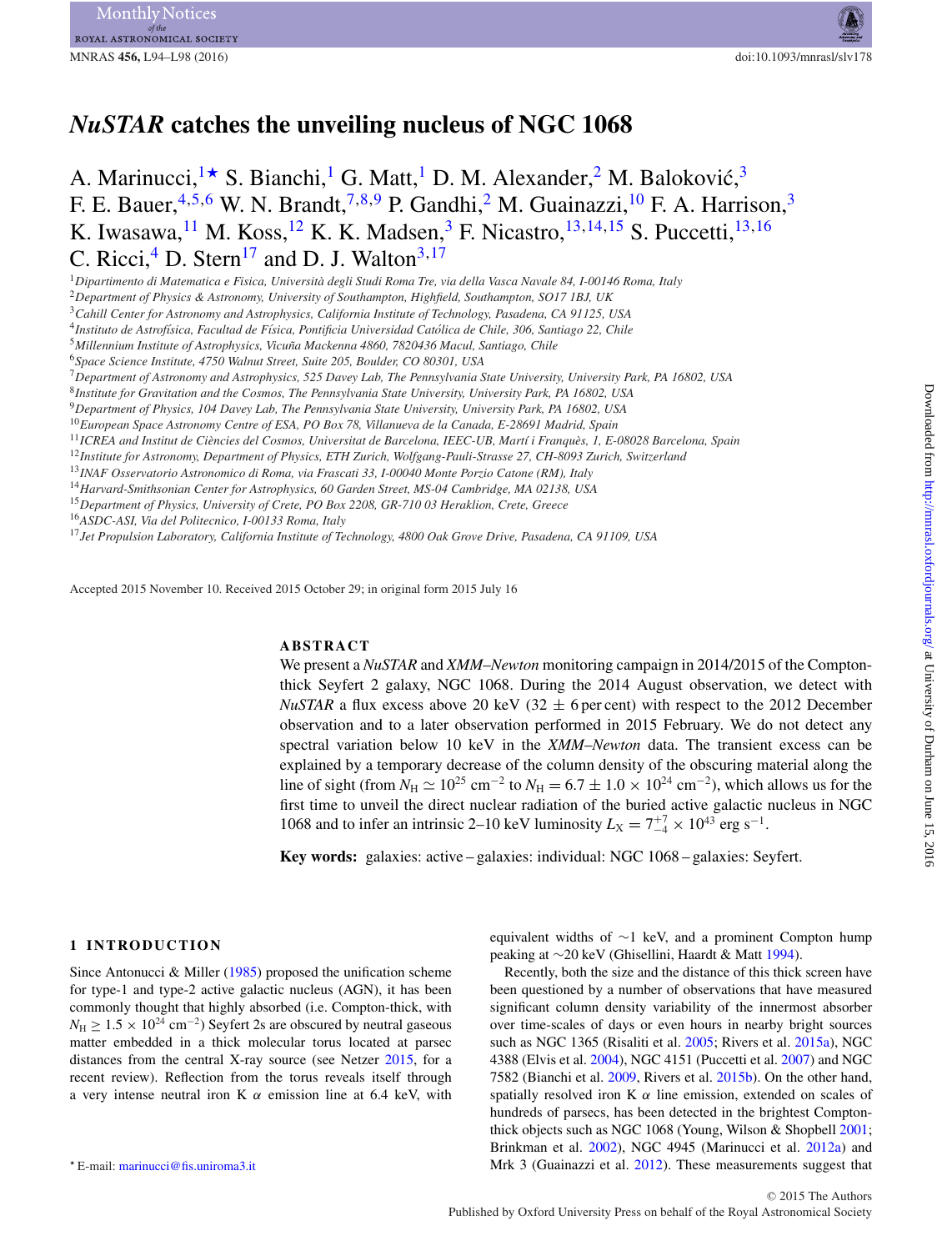# *NuSTAR* **catches the unveiling nucleus of NGC 1068**

A. Marinucci,  $1\star S$  $1\star S$ . Bianchi, <sup>1</sup> G. Matt, <sup>1</sup> D. M. Alexander, <sup>2</sup> M. Baloković, <sup>[3](#page-1-3)</sup> F. E. Bauer,  $4,5,6$  $4,5,6$  $4,5,6$  W. N. Brandt,  $7,8,9$  $7,8,9$  $7,8,9$  P. Gandhi,  $^2$  $^2$  M. Guainazzi,  $^{10}$  F. A. Harrison,  $^3$ K. Iwasawa, <sup>[11](#page-1-11)</sup> M. Koss, <sup>[12](#page-1-12)</sup> K. K. Madsen, <sup>3</sup> F. Nicastro, <sup>[13,](#page-1-13) [14](#page-1-14), 15</sup> S. Puccetti, <sup>13, [16](#page-1-16)</sup> C. Ricci, $^{4}$  $^{4}$  $^{4}$  D. Stern<sup>[17](#page-1-17)</sup> and D. J. Walton<sup>3[,17](#page-1-17)</sup>

<span id="page-1-0"></span><sup>1</sup>*Dipartimento di Matematica e Fisica, Universita degli Studi Roma Tre, via della Vasca Navale 84, I-00146 Roma, Italy `*

<span id="page-1-2"></span><sup>2</sup>*Department of Physics & Astronomy, University of Southampton, Highfield, Southampton, SO17 1BJ, UK*

<span id="page-1-3"></span><sup>3</sup>*Cahill Center for Astronomy and Astrophysics, California Institute of Technology, Pasadena, CA 91125, USA*

<span id="page-1-4"></span><sup>4</sup>*Instituto de Astrof´ısica, Facultad de F´ısica, Pontificia Universidad Catolica de Chile, 306, Santiago 22, Chile ´*

<span id="page-1-5"></span><sup>5</sup>*Millennium Institute of Astrophysics, Vicuna Mackenna 4860, 7820436 Macul, Santiago, Chile ˜*

<span id="page-1-6"></span><sup>6</sup>*Space Science Institute, 4750 Walnut Street, Suite 205, Boulder, CO 80301, USA*

<span id="page-1-7"></span><sup>7</sup>*Department of Astronomy and Astrophysics, 525 Davey Lab, The Pennsylvania State University, University Park, PA 16802, USA*

<span id="page-1-8"></span><sup>8</sup>*Institute for Gravitation and the Cosmos, The Pennsylvania State University, University Park, PA 16802, USA*

<span id="page-1-9"></span><sup>9</sup>*Department of Physics, 104 Davey Lab, The Pennsylvania State University, University Park, PA 16802, USA*

<span id="page-1-10"></span><sup>10</sup>*European Space Astronomy Centre of ESA, PO Box 78, Villanueva de la Canada, E-28691 Madrid, Spain*

<span id="page-1-11"></span><sup>11</sup>ICREA and Institut de Ciències del Cosmos, Universitat de Barcelona, IEEC-UB, Martí i Franquès, 1, E-08028 Barcelona, Spain

<span id="page-1-12"></span><sup>12</sup>*Institute for Astronomy, Department of Physics, ETH Zurich, Wolfgang-Pauli-Strasse 27, CH-8093 Zurich, Switzerland*

<span id="page-1-13"></span><sup>13</sup>*INAF Osservatorio Astronomico di Roma, via Frascati 33, I-00040 Monte Porzio Catone (RM), Italy*

<span id="page-1-14"></span><sup>14</sup>*Harvard-Smithsonian Center for Astrophysics, 60 Garden Street, MS-04 Cambridge, MA 02138, USA* <sup>15</sup>*Department of Physics, University of Crete, PO Box 2208, GR-710 03 Heraklion, Crete, Greece*

<span id="page-1-15"></span>

<span id="page-1-16"></span><sup>16</sup>*ASDC-ASI, Via del Politecnico, I-00133 Roma, Italy*

<span id="page-1-17"></span><sup>17</sup>*Jet Propulsion Laboratory, California Institute of Technology, 4800 Oak Grove Drive, Pasadena, CA 91109, USA*

Accepted 2015 November 10. Received 2015 October 29; in original form 2015 July 16

### **ABSTRACT**

We present a *NuSTAR* and *XMM*–*Newton* monitoring campaign in 2014/2015 of the Comptonthick Seyfert 2 galaxy, NGC 1068. During the 2014 August observation, we detect with *NuSTAR* a flux excess above 20 keV (32  $\pm$  6 per cent) with respect to the 2012 December observation and to a later observation performed in 2015 February. We do not detect any spectral variation below 10 keV in the *XMM*–*Newton* data. The transient excess can be explained by a temporary decrease of the column density of the obscuring material along the line of sight (from  $N_H \simeq 10^{25}$  cm<sup>-2</sup> to  $N_H = 6.7 \pm 1.0 \times 10^{24}$  cm<sup>-2</sup>), which allows us for the first time to unveil the direct nuclear radiation of the buried active galactic nucleus in NGC 1068 and to infer an intrinsic 2–10 keV luminosity  $L_X = 7^{+7}_{-4} \times 10^{43}$  erg s<sup>-1</sup>.

**Key words:** galaxies: active – galaxies: individual: NGC 1068 – galaxies: Seyfert.

### **1 INTRODUCTION**

Since Antonucci & Miller [\(1985\)](#page-5-0) proposed the unification scheme for type-1 and type-2 active galactic nucleus (AGN), it has been commonly thought that highly absorbed (i.e. Compton-thick, with  $N_{\rm H} \geq 1.5 \times 10^{24}$  cm<sup>-2</sup>) Seyfert 2s are obscured by neutral gaseous matter embedded in a thick molecular torus located at parsec distances from the central X-ray source (see Netzer [2015,](#page-5-1) for a recent review). Reflection from the torus reveals itself through a very intense neutral iron K  $\alpha$  emission line at 6.4 keV, with

equivalent widths of ∼1 keV, and a prominent Compton hump peaking at ∼20 keV (Ghisellini, Haardt & Matt [1994\)](#page-5-2).

Recently, both the size and the distance of this thick screen have been questioned by a number of observations that have measured significant column density variability of the innermost absorber over time-scales of days or even hours in nearby bright sources such as NGC 1365 (Risaliti et al. [2005;](#page-5-3) Rivers et al. [2015a\)](#page-5-4), NGC 4388 (Elvis et al. [2004\)](#page-5-5), NGC 4151 (Puccetti et al. [2007\)](#page-5-6) and NGC 7582 (Bianchi et al. [2009,](#page-5-7) Rivers et al. [2015b\)](#page-5-8). On the other hand, spatially resolved iron K  $\alpha$  line emission, extended on scales of hundreds of parsecs, has been detected in the brightest Comptonthick objects such as NGC 1068 (Young, Wilson & Shopbell [2001;](#page-5-9) Brinkman et al. [2002\)](#page-5-10), NGC 4945 (Marinucci et al. [2012a\)](#page-5-11) and Mrk 3 (Guainazzi et al. [2012\)](#page-5-12). These measurements suggest that

<span id="page-1-1"></span>E-mail: [marinucci@fis.uniroma3.it](mailto:marinucci@fis.uniroma3.it)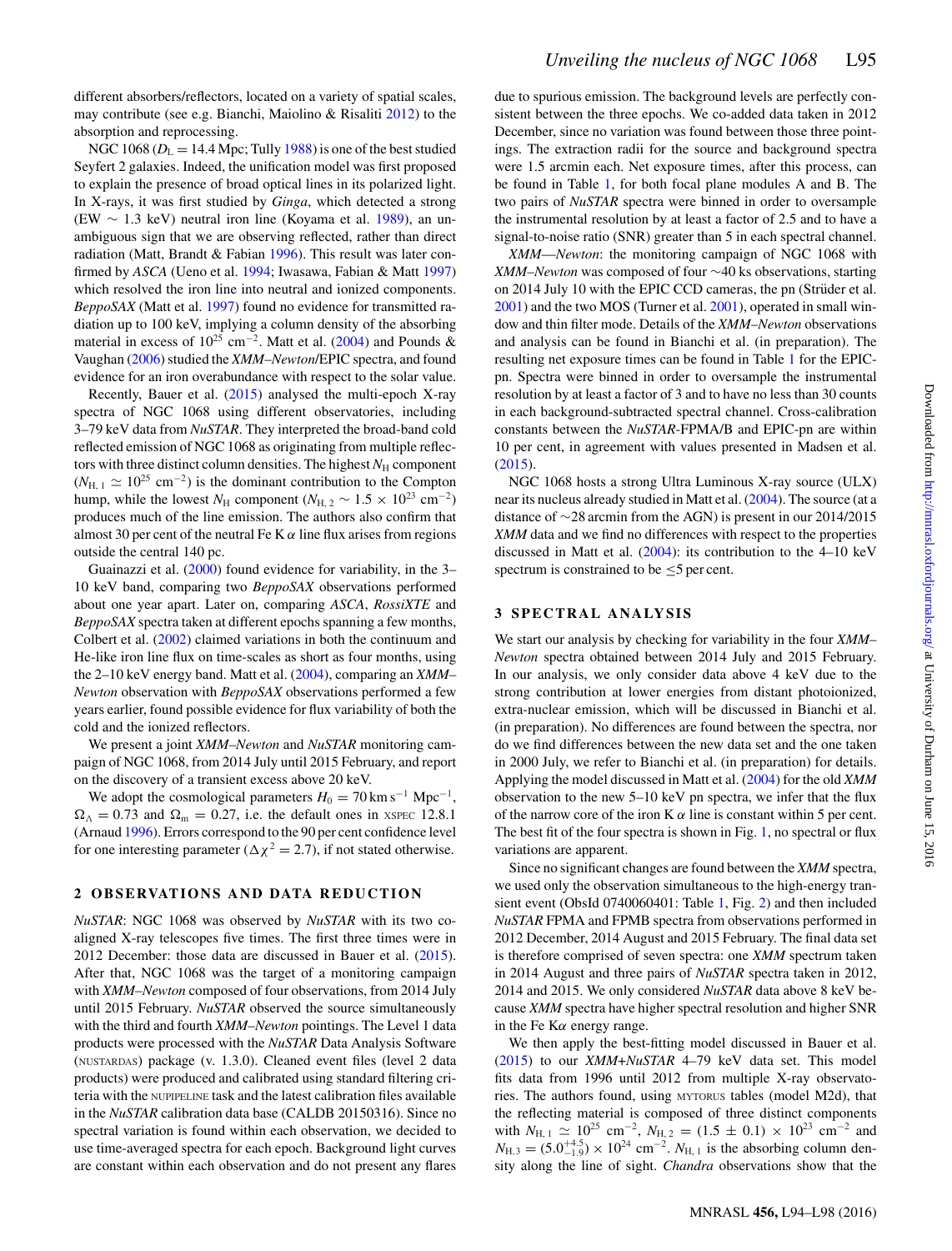different absorbers/reflectors, located on a variety of spatial scales, may contribute (see e.g. Bianchi, Maiolino & Risaliti [2012\)](#page-5-13) to the absorption and reprocessing.

NGC 1068 ( $D_L = 14.4$  Mpc; Tully [1988\)](#page-5-14) is one of the best studied Seyfert 2 galaxies. Indeed, the unification model was first proposed to explain the presence of broad optical lines in its polarized light. In X-rays, it was first studied by *Ginga*, which detected a strong (EW  $\sim$  1.3 keV) neutral iron line (Koyama et al. [1989\)](#page-5-15), an unambiguous sign that we are observing reflected, rather than direct radiation (Matt, Brandt & Fabian [1996\)](#page-5-16). This result was later confirmed by *ASCA* (Ueno et al. [1994;](#page-5-17) Iwasawa, Fabian & Matt [1997\)](#page-5-18) which resolved the iron line into neutral and ionized components. *BeppoSAX* (Matt et al. [1997\)](#page-5-19) found no evidence for transmitted radiation up to 100 keV, implying a column density of the absorbing material in excess of  $10^{25}$  cm<sup>-2</sup>. Matt et al. [\(2004\)](#page-5-20) and Pounds & Vaughan [\(2006\)](#page-5-21) studied the *XMM*–*Newton*/EPIC spectra, and found evidence for an iron overabundance with respect to the solar value.

Recently, Bauer et al. [\(2015\)](#page-5-22) analysed the multi-epoch X-ray spectra of NGC 1068 using different observatories, including 3–79 keV data from *NuSTAR*. They interpreted the broad-band cold reflected emission of NGC 1068 as originating from multiple reflectors with three distinct column densities. The highest  $N_H$  component  $(N_{\text{H, 1}} \simeq 10^{25} \text{ cm}^{-2})$  is the dominant contribution to the Compton hump, while the lowest  $N_H$  component ( $N_{H, 2} \sim 1.5 \times 10^{23}$  cm<sup>-2</sup>) produces much of the line emission. The authors also confirm that almost 30 per cent of the neutral Fe K  $\alpha$  line flux arises from regions outside the central 140 pc.

Guainazzi et al. [\(2000\)](#page-5-23) found evidence for variability, in the 3– 10 keV band, comparing two *BeppoSAX* observations performed about one year apart. Later on, comparing *ASCA*, *RossiXTE* and *BeppoSAX* spectra taken at different epochs spanning a few months, Colbert et al. [\(2002\)](#page-5-24) claimed variations in both the continuum and He-like iron line flux on time-scales as short as four months, using the 2–10 keV energy band. Matt et al. [\(2004\)](#page-5-20), comparing an *XMM*– *Newton* observation with *BeppoSAX* observations performed a few years earlier, found possible evidence for flux variability of both the cold and the ionized reflectors.

We present a joint *XMM*–*Newton* and *NuSTAR* monitoring campaign of NGC 1068, from 2014 July until 2015 February, and report on the discovery of a transient excess above 20 keV.

We adopt the cosmological parameters  $H_0 = 70 \text{ km s}^{-1} \text{ Mpc}^{-1}$ ,  $\Omega_{\Lambda} = 0.73$  and  $\Omega_{\rm m} = 0.27$ , i.e. the default ones in XSPEC 12.8.1 (Arnaud [1996\)](#page-5-25). Errors correspond to the 90 per cent confidence level for one interesting parameter ( $\Delta \chi^2 = 2.7$ ), if not stated otherwise.

### **2 OBSERVATIONS AND DATA REDUCTION**

*NuSTAR*: NGC 1068 was observed by *NuSTAR* with its two coaligned X-ray telescopes five times. The first three times were in 2012 December: those data are discussed in Bauer et al. [\(2015\)](#page-5-22). After that, NGC 1068 was the target of a monitoring campaign with *XMM*–*Newton* composed of four observations, from 2014 July until 2015 February. *NuSTAR* observed the source simultaneously with the third and fourth *XMM*–*Newton* pointings. The Level 1 data products were processed with the *NuSTAR* Data Analysis Software (NUSTARDAS) package (v. 1.3.0). Cleaned event files (level 2 data products) were produced and calibrated using standard filtering criteria with the NUPIPELINE task and the latest calibration files available in the *NuSTAR* calibration data base (CALDB 20150316). Since no spectral variation is found within each observation, we decided to use time-averaged spectra for each epoch. Background light curves are constant within each observation and do not present any flares

due to spurious emission. The background levels are perfectly consistent between the three epochs. We co-added data taken in 2012 December, since no variation was found between those three pointings. The extraction radii for the source and background spectra were 1.5 arcmin each. Net exposure times, after this process, can be found in Table [1,](#page-3-0) for both focal plane modules A and B. The two pairs of *NuSTAR* spectra were binned in order to oversample the instrumental resolution by at least a factor of 2.5 and to have a signal-to-noise ratio (SNR) greater than 5 in each spectral channel.

*XMM*—*Newton*: the monitoring campaign of NGC 1068 with *XMM*–*Newton* was composed of four ∼40 ks observations, starting on 2014 July 10 with the EPIC CCD cameras, the pn (Strüder et al. [2001\)](#page-5-26) and the two MOS (Turner et al. [2001\)](#page-5-27), operated in small window and thin filter mode. Details of the *XMM*–*Newton* observations and analysis can be found in Bianchi et al. (in preparation). The resulting net exposure times can be found in Table [1](#page-3-0) for the EPICpn. Spectra were binned in order to oversample the instrumental resolution by at least a factor of 3 and to have no less than 30 counts in each background-subtracted spectral channel. Cross-calibration constants between the *NuSTAR*-FPMA/B and EPIC-pn are within 10 per cent, in agreement with values presented in Madsen et al. [\(2015\)](#page-5-28).

NGC 1068 hosts a strong Ultra Luminous X-ray source (ULX) near its nucleus already studied in Matt et al. [\(2004\)](#page-5-20). The source (at a distance of ∼28 arcmin from the AGN) is present in our 2014/2015 *XMM* data and we find no differences with respect to the properties discussed in Matt et al. [\(2004\)](#page-5-20): its contribution to the 4–10 keV spectrum is constrained to be  $\leq$ 5 per cent.

### **3 SPECTRAL ANALYSIS**

We start our analysis by checking for variability in the four *XMM*– *Newton* spectra obtained between 2014 July and 2015 February. In our analysis, we only consider data above 4 keV due to the strong contribution at lower energies from distant photoionized, extra-nuclear emission, which will be discussed in Bianchi et al. (in preparation). No differences are found between the spectra, nor do we find differences between the new data set and the one taken in 2000 July, we refer to Bianchi et al. (in preparation) for details. Applying the model discussed in Matt et al. [\(2004\)](#page-5-20) for the old *XMM* observation to the new 5–10 keV pn spectra, we infer that the flux of the narrow core of the iron K  $\alpha$  line is constant within 5 per cent. The best fit of the four spectra is shown in Fig. [1,](#page-3-1) no spectral or flux variations are apparent.

Since no significant changes are found between the *XMM* spectra, we used only the observation simultaneous to the high-energy transient event (ObsId 0740060401: Table [1,](#page-3-0) Fig. [2\)](#page-3-2) and then included *NuSTAR* FPMA and FPMB spectra from observations performed in 2012 December, 2014 August and 2015 February. The final data set is therefore comprised of seven spectra: one *XMM* spectrum taken in 2014 August and three pairs of *NuSTAR* spectra taken in 2012, 2014 and 2015. We only considered *NuSTAR* data above 8 keV because *XMM* spectra have higher spectral resolution and higher SNR in the Fe K $\alpha$  energy range.

We then apply the best-fitting model discussed in Bauer et al. [\(2015\)](#page-5-22) to our *XMM*+*NuSTAR* 4–79 keV data set. This model fits data from 1996 until 2012 from multiple X-ray observatories. The authors found, using MYTORUS tables (model M2d), that the reflecting material is composed of three distinct components with  $N_{\text{H, 1}} \simeq 10^{25} \text{ cm}^{-2}$ ,  $N_{\text{H, 2}} = (1.5 \pm 0.1) \times 10^{23} \text{ cm}^{-2}$  and  $N_{\text{H},3} = (5.0^{+4.5}_{-1.9}) \times 10^{24} \text{ cm}^{-2}$ .  $N_{\text{H},1}$  is the absorbing column density along the line of sight. *Chandra* observations show that the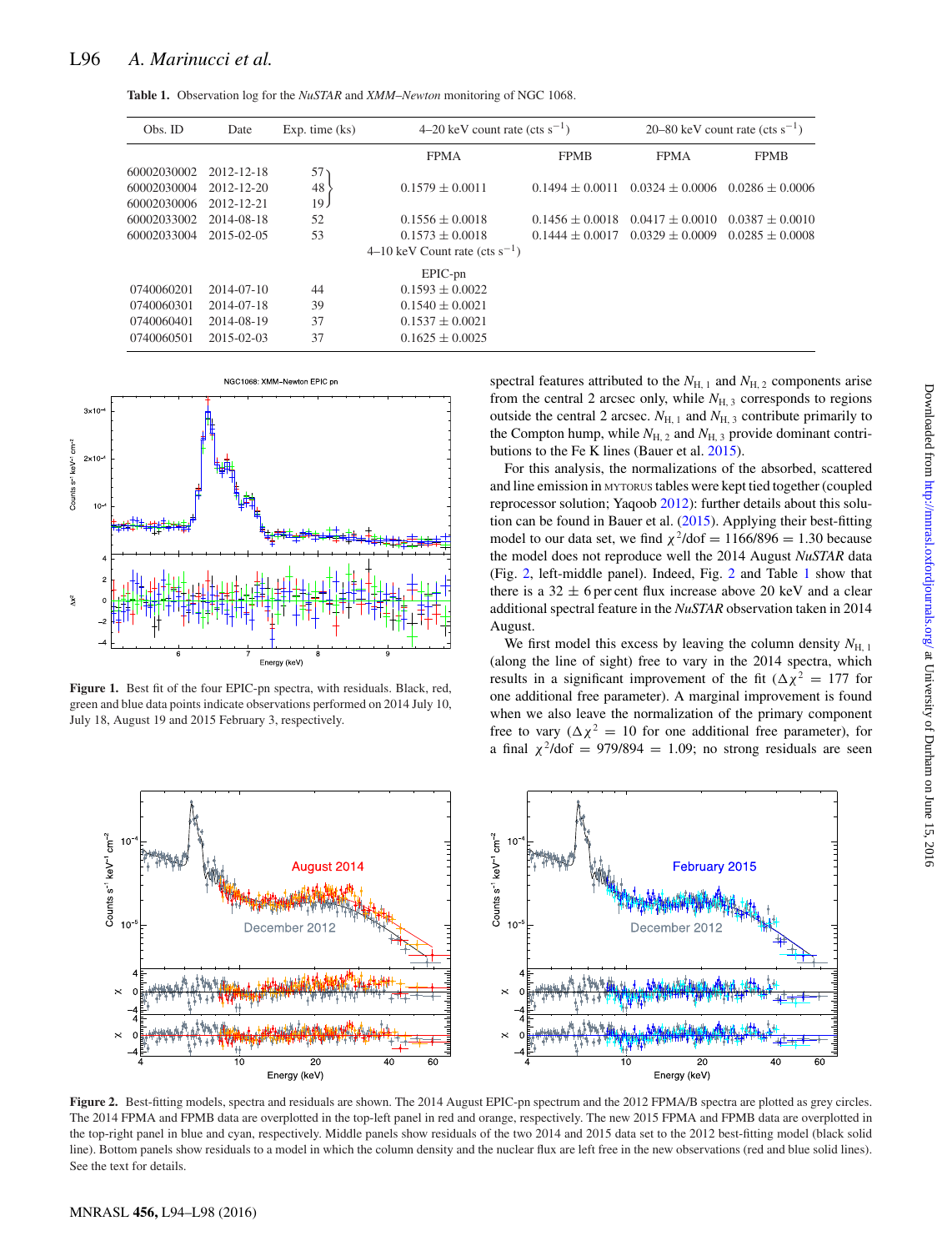|  |  |  |  | <b>Table 1.</b> Observation log for the <i>NuSTAR</i> and <i>XMM-Newton</i> monitoring of NGC 1068. |  |  |  |
|--|--|--|--|-----------------------------------------------------------------------------------------------------|--|--|--|
|--|--|--|--|-----------------------------------------------------------------------------------------------------|--|--|--|

<span id="page-3-0"></span>

| Obs. ID     | Date             | $Exp.$ time $(ks)$ | 4–20 keV count rate (cts $s^{-1}$ ) | 20–80 keV count rate (cts $s^{-1}$ ) |                   |                   |
|-------------|------------------|--------------------|-------------------------------------|--------------------------------------|-------------------|-------------------|
|             |                  |                    | <b>FPMA</b>                         | <b>FPMB</b>                          | <b>FPMA</b>       | <b>FPMB</b>       |
| 60002030002 | 2012-12-18       | 57 <sub>2</sub>    |                                     |                                      |                   |                   |
| 60002030004 | 2012-12-20       | 48                 | $0.1579 \pm 0.0011$                 | $0.1494 + 0.0011$                    | $0.0324 + 0.0006$ | $0.0286 + 0.0006$ |
| 60002030006 | 2012-12-21       | 19 <sub>1</sub>    |                                     |                                      |                   |                   |
| 60002033002 | 2014-08-18       | 52                 | $0.1556 + 0.0018$                   | $0.1456 + 0.0018$                    | $0.0417 + 0.0010$ | $0.0387 + 0.0010$ |
| 60002033004 | $2015 - 02 - 05$ | 53                 | $0.1573 + 0.0018$                   | $0.1444 + 0.0017$                    | $0.0329 + 0.0009$ | $0.0285 + 0.0008$ |
|             |                  |                    | 4–10 keV Count rate (cts $s^{-1}$ ) |                                      |                   |                   |
|             |                  |                    | EPIC-pn                             |                                      |                   |                   |
| 0740060201  | $2014 - 07 - 10$ | 44                 | $0.1593 + 0.0022$                   |                                      |                   |                   |
| 0740060301  | 2014-07-18       | 39                 | $0.1540 + 0.0021$                   |                                      |                   |                   |
| 0740060401  | 2014-08-19       | 37                 | $0.1537 + 0.0021$                   |                                      |                   |                   |
| 0740060501  | 2015-02-03       | 37                 | $0.1625 \pm 0.0025$                 |                                      |                   |                   |

<span id="page-3-1"></span>

**Figure 1.** Best fit of the four EPIC-pn spectra, with residuals. Black, red, green and blue data points indicate observations performed on 2014 July 10, July 18, August 19 and 2015 February 3, respectively.

<span id="page-3-2"></span>

spectral features attributed to the  $N_{\text{H, 1}}$  and  $N_{\text{H, 2}}$  components arise from the central 2 arcsec only, while  $N_{\text{H, 3}}$  corresponds to regions outside the central 2 arcsec.  $N_{\text{H}1}$  and  $N_{\text{H}2}$  contribute primarily to the Compton hump, while  $N_{\text{H},2}$  and  $N_{\text{H},3}$  provide dominant contributions to the Fe K lines (Bauer et al. [2015\)](#page-5-22).

For this analysis, the normalizations of the absorbed, scattered and line emission in MYTORUS tables were kept tied together (coupled reprocessor solution; Yaqoob [2012\)](#page-5-29): further details about this solution can be found in Bauer et al. [\(2015\)](#page-5-22). Applying their best-fitting model to our data set, we find  $\chi^2$ /dof = 1166/896 = 1.30 because the model does not reproduce well the 2014 August *NuSTAR* data (Fig. [2,](#page-3-2) left-middle panel). Indeed, Fig. [2](#page-3-2) and Table [1](#page-3-0) show that there is a  $32 \pm 6$  per cent flux increase above 20 keV and a clear additional spectral feature in the *NuSTAR* observation taken in 2014 August.

We first model this excess by leaving the column density  $N_{\text{H}_1,1}$ (along the line of sight) free to vary in the 2014 spectra, which results in a significant improvement of the fit ( $\Delta \chi^2 = 177$  for one additional free parameter). A marginal improvement is found when we also leave the normalization of the primary component free to vary ( $\Delta \chi^2 = 10$  for one additional free parameter), for a final  $\chi^2$ /dof = 979/894 = 1.09; no strong residuals are seen



Figure 2. Best-fitting models, spectra and residuals are shown. The 2014 August EPIC-pn spectrum and the 2012 FPMA/B spectra are plotted as grey circles. The 2014 FPMA and FPMB data are overplotted in the top-left panel in red and orange, respectively. The new 2015 FPMA and FPMB data are overplotted in the top-right panel in blue and cyan, respectively. Middle panels show residuals of the two 2014 and 2015 data set to the 2012 best-fitting model (black solid line). Bottom panels show residuals to a model in which the column density and the nuclear flux are left free in the new observations (red and blue solid lines). See the text for details.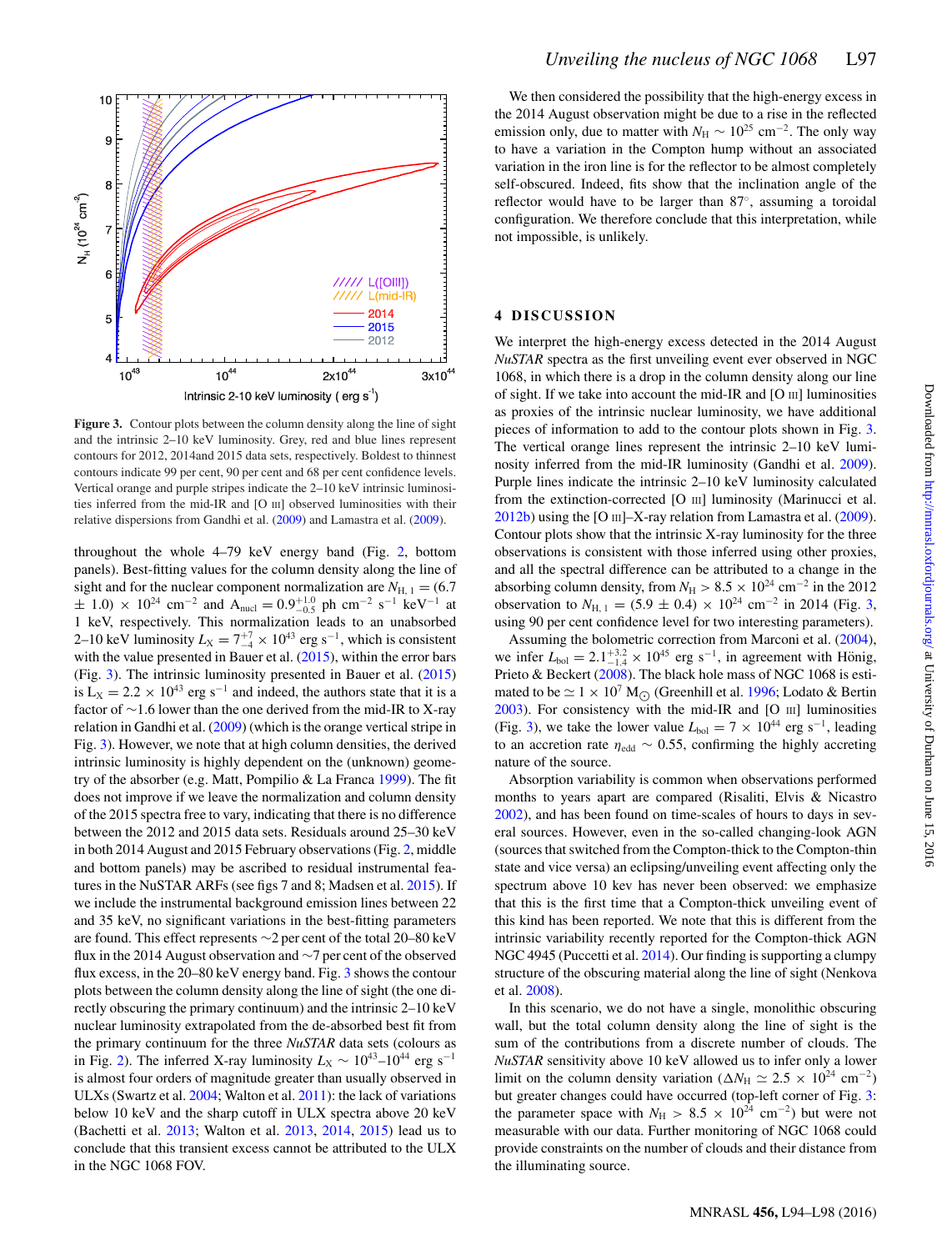<span id="page-4-0"></span>

**Figure 3.** Contour plots between the column density along the line of sight and the intrinsic 2–10 keV luminosity. Grey, red and blue lines represent contours for 2012, 2014and 2015 data sets, respectively. Boldest to thinnest contours indicate 99 per cent, 90 per cent and 68 per cent confidence levels. Vertical orange and purple stripes indicate the 2–10 keV intrinsic luminosities inferred from the mid-IR and [O III] observed luminosities with their relative dispersions from Gandhi et al. [\(2009\)](#page-5-30) and Lamastra et al. [\(2009\)](#page-5-31).

throughout the whole 4–79 keV energy band (Fig. [2,](#page-3-2) bottom panels). Best-fitting values for the column density along the line of sight and for the nuclear component normalization are  $N_{\text{H, 1}} = (6.7)$  $\pm$  1.0) × 10<sup>24</sup> cm<sup>-2</sup> and A<sub>nucl</sub> = 0.9<sup>+1.0</sup> ph cm<sup>-2</sup> s<sup>-1</sup> keV<sup>-1</sup> at 1 keV, respectively. This normalization leads to an unabsorbed 2–10 keV luminosity  $L_X = 7\frac{+7}{-4} \times 10^{43}$  erg s<sup>-1</sup>, which is consistent with the value presented in Bauer et al. [\(2015\)](#page-5-22), within the error bars (Fig. [3\)](#page-4-0). The intrinsic luminosity presented in Bauer et al. [\(2015\)](#page-5-22) is L<sub>X</sub> = 2.2 × 10<sup>43</sup> erg s<sup>-1</sup> and indeed, the authors state that it is a factor of ∼1.6 lower than the one derived from the mid-IR to X-ray relation in Gandhi et al. [\(2009\)](#page-5-30) (which is the orange vertical stripe in Fig. [3\)](#page-4-0). However, we note that at high column densities, the derived intrinsic luminosity is highly dependent on the (unknown) geometry of the absorber (e.g. Matt, Pompilio & La Franca [1999\)](#page-5-32). The fit does not improve if we leave the normalization and column density of the 2015 spectra free to vary, indicating that there is no difference between the 2012 and 2015 data sets. Residuals around 25–30 keV in both 2014 August and 2015 February observations (Fig. [2,](#page-3-2) middle and bottom panels) may be ascribed to residual instrumental features in the NuSTAR ARFs (see figs 7 and 8; Madsen et al. [2015\)](#page-5-28). If we include the instrumental background emission lines between 22 and 35 keV, no significant variations in the best-fitting parameters are found. This effect represents ∼2 per cent of the total 20–80 keV flux in the 2014 August observation and ∼7 per cent of the observed flux excess, in the 20–80 keV energy band. Fig. [3](#page-4-0) shows the contour plots between the column density along the line of sight (the one directly obscuring the primary continuum) and the intrinsic 2–10 keV nuclear luminosity extrapolated from the de-absorbed best fit from the primary continuum for the three *NuSTAR* data sets (colours as in Fig. [2\)](#page-3-2). The inferred X-ray luminosity  $L_X \sim 10^{43}$ –10<sup>44</sup> erg s<sup>-1</sup> is almost four orders of magnitude greater than usually observed in ULXs (Swartz et al. [2004;](#page-5-33) Walton et al. [2011\)](#page-5-34): the lack of variations below 10 keV and the sharp cutoff in ULX spectra above 20 keV (Bachetti et al. [2013;](#page-5-35) Walton et al. [2013,](#page-5-36) [2014,](#page-5-37) [2015\)](#page-5-38) lead us to conclude that this transient excess cannot be attributed to the ULX in the NGC 1068 FOV.

We then considered the possibility that the high-energy excess in the 2014 August observation might be due to a rise in the reflected emission only, due to matter with  $N_H \sim 10^{25}$  cm<sup>-2</sup>. The only way to have a variation in the Compton hump without an associated variation in the iron line is for the reflector to be almost completely self-obscured. Indeed, fits show that the inclination angle of the reflector would have to be larger than 87◦, assuming a toroidal configuration. We therefore conclude that this interpretation, while not impossible, is unlikely.

#### **4 DISCUSSION**

We interpret the high-energy excess detected in the 2014 August *NuSTAR* spectra as the first unveiling event ever observed in NGC 1068, in which there is a drop in the column density along our line of sight. If we take into account the mid-IR and [O III] luminosities as proxies of the intrinsic nuclear luminosity, we have additional pieces of information to add to the contour plots shown in Fig. [3.](#page-4-0) The vertical orange lines represent the intrinsic 2–10 keV luminosity inferred from the mid-IR luminosity (Gandhi et al. [2009\)](#page-5-30). Purple lines indicate the intrinsic 2–10 keV luminosity calculated from the extinction-corrected [O III] luminosity (Marinucci et al.  $2012b$ ) using the [O  $\text{III}$ ]–X-ray relation from Lamastra et al. [\(2009\)](#page-5-31). Contour plots show that the intrinsic X-ray luminosity for the three observations is consistent with those inferred using other proxies, and all the spectral difference can be attributed to a change in the absorbing column density, from  $N_H > 8.5 \times 10^{24}$  cm<sup>-2</sup> in the 2012 observation to  $N_{\text{H, 1}} = (5.9 \pm 0.4) \times 10^{24} \text{ cm}^{-2}$  in 2014 (Fig. [3,](#page-4-0) using 90 per cent confidence level for two interesting parameters).

Assuming the bolometric correction from Marconi et al. [\(2004\)](#page-5-40), we infer  $L_{bol} = 2.1_{-1.4}^{+3.2} \times 10^{45}$  erg s<sup>-1</sup>, in agreement with Hönig, Prieto & Beckert [\(2008\)](#page-5-41). The black hole mass of NGC 1068 is estimated to be  $\simeq 1 \times 10^7$  M<sub>O</sub> (Greenhill et al. [1996;](#page-5-42) Lodato & Bertin [2003\)](#page-5-43). For consistency with the mid-IR and [O III] luminosities (Fig. [3\)](#page-4-0), we take the lower value  $L_{bol} = 7 \times 10^{44}$  erg s<sup>-1</sup>, leading to an accretion rate  $\eta_{\text{edd}} \sim 0.55$ , confirming the highly accreting nature of the source.

Absorption variability is common when observations performed months to years apart are compared (Risaliti, Elvis & Nicastro [2002\)](#page-5-44), and has been found on time-scales of hours to days in several sources. However, even in the so-called changing-look AGN (sources that switched from the Compton-thick to the Compton-thin state and vice versa) an eclipsing/unveiling event affecting only the spectrum above 10 kev has never been observed: we emphasize that this is the first time that a Compton-thick unveiling event of this kind has been reported. We note that this is different from the intrinsic variability recently reported for the Compton-thick AGN NGC 4945 (Puccetti et al. [2014\)](#page-5-45). Our finding is supporting a clumpy structure of the obscuring material along the line of sight (Nenkova et al. [2008\)](#page-5-46).

In this scenario, we do not have a single, monolithic obscuring wall, but the total column density along the line of sight is the sum of the contributions from a discrete number of clouds. The *NuSTAR* sensitivity above 10 keV allowed us to infer only a lower limit on the column density variation ( $\Delta N_{\rm H} \simeq 2.5 \times 10^{24} \text{ cm}^{-2}$ ) but greater changes could have occurred (top-left corner of Fig. [3:](#page-4-0) the parameter space with  $N_{\text{H}} > 8.5 \times 10^{24} \text{ cm}^{-2}$ ) but were not measurable with our data. Further monitoring of NGC 1068 could provide constraints on the number of clouds and their distance from the illuminating source.